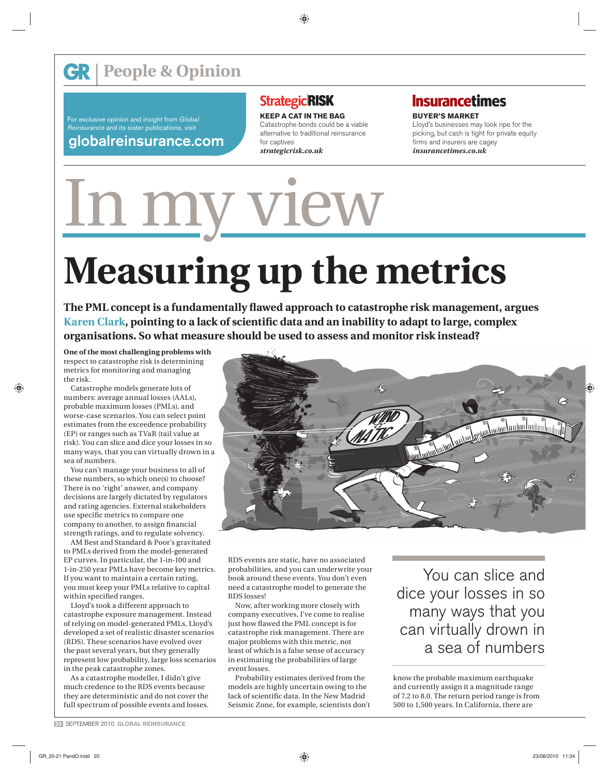For exclusive opinion and insight from *Global Reinsurance* and its sister publications, visit

### **globalreinsurance.com**

## **StrategicRISK**

**KEEP A CAT IN THE BAG** Catastrophe bonds could be a viable alternative to traditional reinsurance for captives *strategicrisk.co.uk*

# **Insurancetimes**

**BUYER'S MARKET** Lloyd's businesses may look ripe for the picking, but cash is tight for private equity firms and insurers are cagey *insurancetimes.co.uk*

# **Measuring up the metrics**

In my view

The PML concept is a fundamentally flawed approach to catastrophe risk management, argues Karen Clark, pointing to a lack of scientific data and an inability to adapt to large, complex **organisations. So what measure should be used to assess and monitor risk instead?** 

**One of the most challenging problems with**  respect to catastrophe risk is determining metrics for monitoring and managing the risk.

Catastrophe models generate lots of numbers: average annual losses (AALs), probable maximum losses (PMLs), and worse-case scenarios. You can select point estimates from the exceedence probability (EP) or ranges such as TVaR (tail value at risk). You can slice and dice your losses in so many ways, that you can virtually drown in a sea of numbers.

You can't manage your business to all of these numbers, so which one(s) to choose? There is no 'right' answer, and company decisions are largely dictated by regulators and rating agencies. External stakeholders use specific metrics to compare one company to another, to assign financial strength ratings, and to regulate solvency.

AM Best and Standard & Poor's gravitated to PMLs derived from the model-generated EP curves. In particular, the 1-in-100 and 1-in-250 year PMLs have become key metrics. If you want to maintain a certain rating, you must keep your PMLs relative to capital within specified ranges.

Lloyd's took a different approach to catastrophe exposure management. Instead of relying on model-generated PMLs, Lloyd's developed a set of realistic disaster scenarios (RDS). These scenarios have evolved over the past several years, but they generally represent low probability, large loss scenarios in the peak catastrophe zones.

As a catastrophe modeller, I didn't give much credence to the RDS events because they are deterministic and do not cover the full spectrum of possible events and losses.



RDS events are static, have no associated probabilities, and you can underwrite your book around these events. You don't even need a catastrophe model to generate the RDS losses!

Now, after working more closely with company executives, I've come to realise just how flawed the PML concept is for catastrophe risk management. There are major problems with this metric, not least of which is a false sense of accuracy in estimating the probabilities of large event losses.

Probability estimates derived from the models are highly uncertain owing to the lack of scientific data. In the New Madrid Seismic Zone, for example, scientists don't

You can slice and dice your losses in so many ways that you can virtually drown in a sea of numbers

know the probable maximum earthquake and currently assign it a magnitude range of 7.2 to 8.0. The return period range is from 500 to 1,500 years. In California, there are